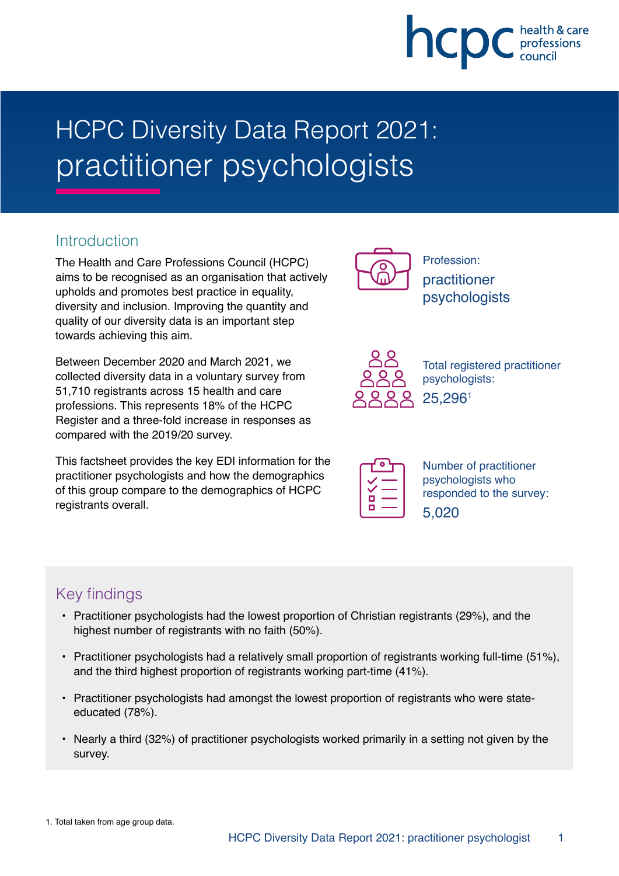# hcpc

# HCPC Diversity Data Report 2021: practitioner psychologists

### **Introduction**

The Health and Care Professions Council (HCPC) aims to be recognised as an organisation that actively upholds and promotes best practice in equality, diversity and inclusion. Improving the quantity and quality of our diversity data is an important step towards achieving this aim.

Between December 2020 and March 2021, we collected diversity data in a voluntary survey from 51,710 registrants across 15 health and care professions. This represents 18% of the HCPC Register and a three-fold increase in responses as compared with the 2019/20 survey.

This factsheet provides the key EDI information for the practitioner psychologists and how the demographics of this group compare to the demographics of HCPC registrants overall.



Profession: practitioner psychologists



Total registered practitioner psychologists: 25,2961

| n |  |
|---|--|
| n |  |
|   |  |

Number of practitioner psychologists who responded to the survey: 5,020

# Key findings

- Practitioner psychologists had the lowest proportion of Christian registrants (29%), and the highest number of registrants with no faith (50%).
- Practitioner psychologists had a relatively small proportion of registrants working full-time (51%), and the third highest proportion of registrants working part-time (41%).
- Practitioner psychologists had amongst the lowest proportion of registrants who were stateeducated (78%).
- Nearly a third (32%) of practitioner psychologists worked primarily in a setting not given by the survey.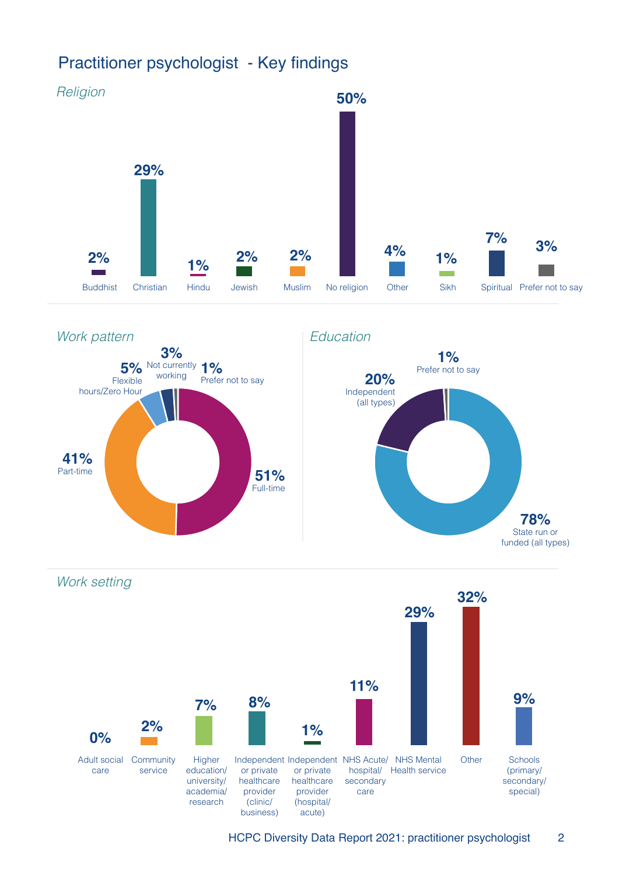# Practitioner psychologist - Key findings





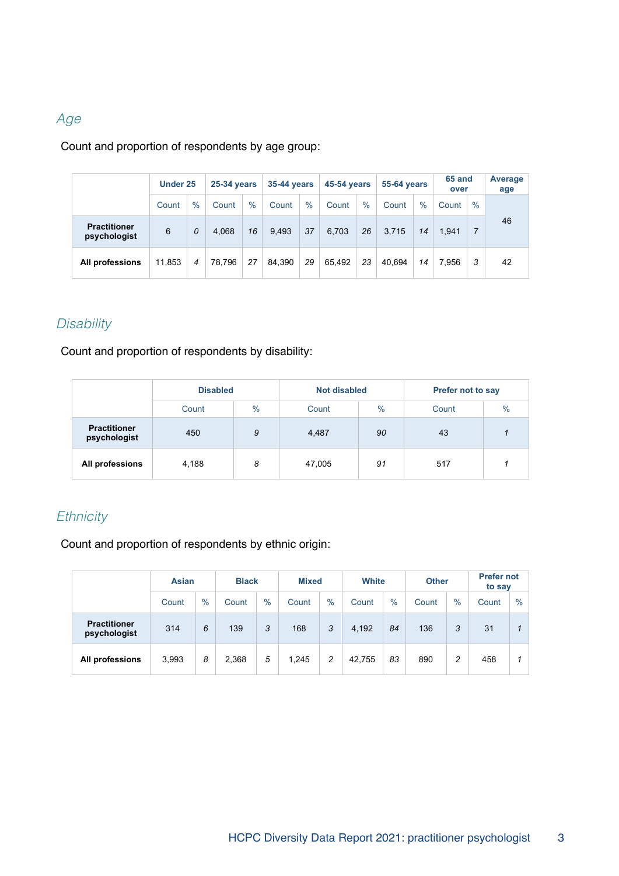#### Age

Count and proportion of respondents by age group:

|                                     |        | Under 25 |        | 25-34 years |        |      | 35-44 years |      | <b>45-54 years</b> |      | <b>55-64 years</b> |      | 65 and<br>over | Average<br>age |
|-------------------------------------|--------|----------|--------|-------------|--------|------|-------------|------|--------------------|------|--------------------|------|----------------|----------------|
|                                     | Count  | $\%$     | Count  | $\%$        | Count  | $\%$ | Count       | $\%$ | Count              | $\%$ | Count              | $\%$ |                |                |
| <b>Practitioner</b><br>psychologist | 6      | 0        | 4.068  | 16          | 9.493  | 37   | 6,703       | 26   | 3,715              | 14   | 1,941              | 7    | 46             |                |
| All professions                     | 11,853 | 4        | 78,796 | 27          | 84.390 | 29   | 65.492      | 23   | 40.694             | 14   | 7.956              | 3    | 42             |                |

#### **Disability**

Count and proportion of respondents by disability:

|                                     | <b>Disabled</b> |   | <b>Not disabled</b>    |    | <b>Prefer not to say</b> |               |
|-------------------------------------|-----------------|---|------------------------|----|--------------------------|---------------|
|                                     | $\%$<br>Count   |   | $\frac{0}{0}$<br>Count |    | Count                    | $\frac{0}{0}$ |
| <b>Practitioner</b><br>psychologist | 450             | 9 | 4,487                  | 90 | 43                       |               |
| All professions                     | 4,188           | 8 | 47,005                 | 91 | 517                      |               |

#### **Ethnicity**

Count and proportion of respondents by ethnic origin:

|                                     | <b>Asian</b> |      | <b>Black</b> |      |       | <b>Mixed</b> |        | White |       | <b>Other</b> | <b>Prefer not</b><br>to say |      |
|-------------------------------------|--------------|------|--------------|------|-------|--------------|--------|-------|-------|--------------|-----------------------------|------|
|                                     | Count        | $\%$ | Count        | $\%$ | Count | $\%$         | Count  | $\%$  | Count | $\%$         | Count                       | $\%$ |
| <b>Practitioner</b><br>psychologist | 314          | 6    | 139          | 3    | 168   | 3            | 4,192  | 84    | 136   | 3            | 31                          |      |
| All professions                     | 3,993        | 8    | 2,368        | 5    | 1,245 | 2            | 42,755 | 83    | 890   | 2            | 458                         |      |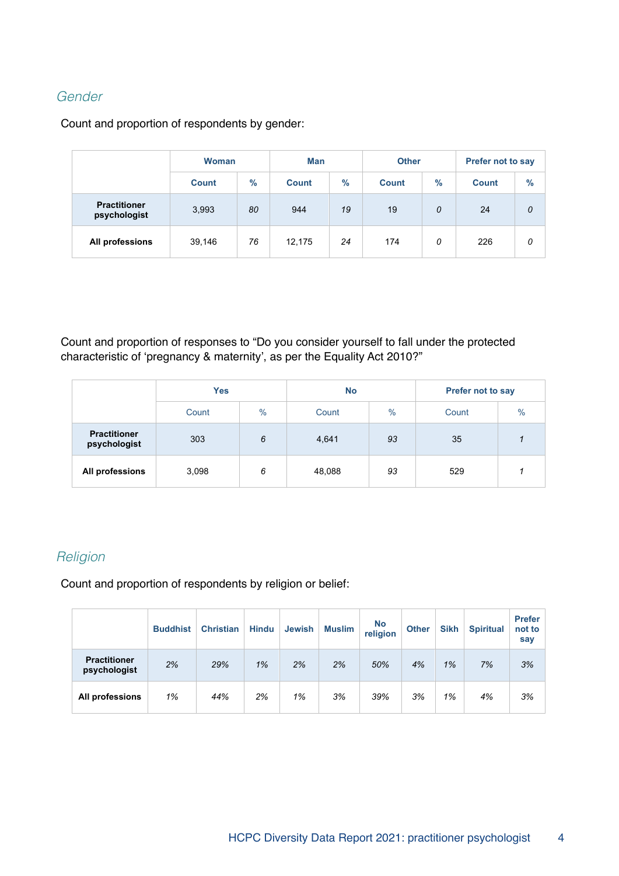#### Gender

Count and proportion of respondents by gender:

|                                     | Woman        |      | <b>Man</b> |                      | <b>Other</b> |               | <b>Prefer not to say</b> |      |  |
|-------------------------------------|--------------|------|------------|----------------------|--------------|---------------|--------------------------|------|--|
|                                     | <b>Count</b> | $\%$ |            | $\%$<br><b>Count</b> |              | $\frac{9}{6}$ | <b>Count</b>             | $\%$ |  |
| <b>Practitioner</b><br>psychologist | 3,993        | 80   | 944        | 19<br>19             |              | 0             | 24                       | 0    |  |
| All professions                     | 39,146       | 76   | 12,175     | 24                   | 174          | 0             | 226                      | 0    |  |

Count and proportion of responses to "Do you consider yourself to fall under the protected characteristic of 'pregnancy & maternity', as per the Equality Act 2010?"

|                                     | <b>Yes</b> |      | <b>No</b> |               | <b>Prefer not to say</b> |               |  |
|-------------------------------------|------------|------|-----------|---------------|--------------------------|---------------|--|
|                                     | Count      | $\%$ |           | $\frac{0}{0}$ | Count                    | $\frac{0}{0}$ |  |
| <b>Practitioner</b><br>psychologist | 303        | 6    | 4,641     | 93            | 35                       |               |  |
| All professions                     | 3,098      | 6    | 48,088    | 93            | 529                      |               |  |

#### **Religion**

Count and proportion of respondents by religion or belief:

|                                     | <b>Buddhist</b> | <b>Christian</b> | <b>Hindu</b> | <b>Jewish</b> | <b>Muslim</b> | <b>No</b><br>religion | <b>Other</b> | <b>Sikh</b> | <b>Spiritual</b> | <b>Prefer</b><br>not to<br>say |
|-------------------------------------|-----------------|------------------|--------------|---------------|---------------|-----------------------|--------------|-------------|------------------|--------------------------------|
| <b>Practitioner</b><br>psychologist | 2%              | 29%              | 1%           | 2%            | 2%            | 50%                   | 4%           | 1%          | 7%               | 3%                             |
| All professions                     | 1%              | 44%              | 2%           | 1%            | 3%            | 39%                   | 3%           | 1%          | 4%               | 3%                             |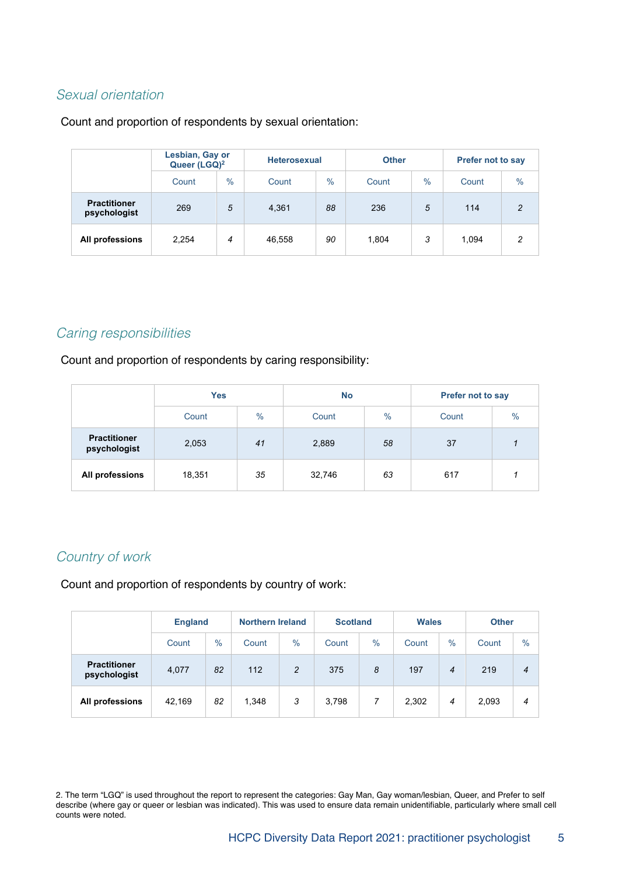#### Sexual orientation

#### Count and proportion of respondents by sexual orientation:

|                                     | Lesbian, Gay or<br>Queer (LGQ) <sup>2</sup> |               |        | <b>Heterosexual</b> |       |      | <b>Prefer not to say</b> |                |  |
|-------------------------------------|---------------------------------------------|---------------|--------|---------------------|-------|------|--------------------------|----------------|--|
|                                     | Count                                       | $\frac{0}{0}$ | Count  | $\frac{0}{0}$       | Count | $\%$ | Count                    | $\%$           |  |
| <b>Practitioner</b><br>psychologist | 269                                         | 5             | 4,361  | 88                  | 236   | 5    | 114                      | $\mathfrak{p}$ |  |
| All professions                     | 2.254                                       | 4             | 46,558 | 90                  | 1.804 | 3    | 1.094                    | 2              |  |

#### Caring responsibilities

Count and proportion of respondents by caring responsibility:

|                                     | <b>Yes</b>    |    | <b>No</b> |               | <b>Prefer not to say</b> |      |  |
|-------------------------------------|---------------|----|-----------|---------------|--------------------------|------|--|
|                                     | $\%$<br>Count |    | Count     | $\frac{0}{0}$ | Count                    | $\%$ |  |
| <b>Practitioner</b><br>psychologist | 2,053         | 41 | 2,889     | 58            | 37                       |      |  |
| All professions                     | 18,351        | 35 | 32,746    | 63            | 617                      |      |  |

#### Country of work

Count and proportion of respondents by country of work:

|                                     |        | <b>England</b> |       | <b>Northern Ireland</b> | <b>Scotland</b> |      | <b>Wales</b> |                | <b>Other</b> |                  |
|-------------------------------------|--------|----------------|-------|-------------------------|-----------------|------|--------------|----------------|--------------|------------------|
|                                     | Count  | $\%$           | Count | $\%$                    | Count           | $\%$ | Count        | $\%$           | Count        | $\%$             |
| <b>Practitioner</b><br>psychologist | 4,077  | 82             | 112   | 2                       | 375             | 8    | 197          | $\overline{4}$ | 219          | $\boldsymbol{4}$ |
| All professions                     | 42,169 | 82             | 1,348 | 3                       | 3,798           | 7    | 2,302        | 4              | 2,093        | 4                |

2. The term "LGQ" is used throughout the report to represent the categories: Gay Man, Gay woman/lesbian, Queer, and Prefer to self describe (where gay or queer or lesbian was indicated). This was used to ensure data remain unidentifiable, particularly where small cell counts were noted.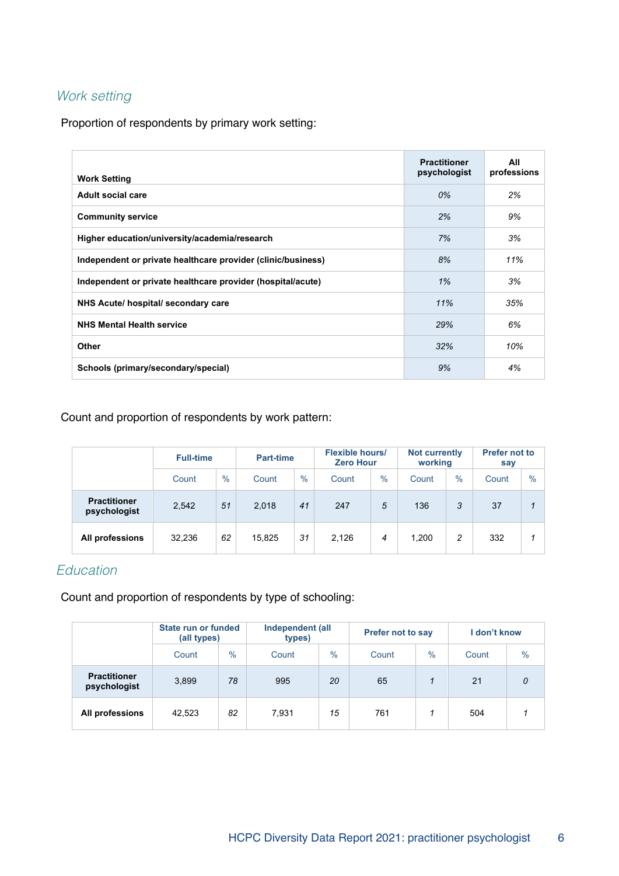#### Work setting

Proportion of respondents by primary work setting:

| <b>Work Setting</b>                                          | <b>Practitioner</b><br>psychologist | All<br>professions |
|--------------------------------------------------------------|-------------------------------------|--------------------|
| Adult social care                                            | 0%                                  | 2%                 |
| <b>Community service</b>                                     | 2%                                  | 9%                 |
| Higher education/university/academia/research                | 7%                                  | 3%                 |
| Independent or private healthcare provider (clinic/business) | 8%                                  | 11%                |
| Independent or private healthcare provider (hospital/acute)  | 1%                                  | 3%                 |
| NHS Acute/ hospital/ secondary care                          | 11%                                 | 35%                |
| <b>NHS Mental Health service</b>                             | 29%                                 | 6%                 |
| Other                                                        | 32%                                 | 10%                |
| Schools (primary/secondary/special)                          | 9%                                  | 4%                 |

Count and proportion of respondents by work pattern:

|                                     | <b>Full-time</b> |               |        | Part-time |       | <b>Flexible hours/</b><br><b>Zero Hour</b> |       | <b>Not currently</b><br>working | <b>Prefer not to</b><br>say |               |
|-------------------------------------|------------------|---------------|--------|-----------|-------|--------------------------------------------|-------|---------------------------------|-----------------------------|---------------|
|                                     | Count            | $\frac{0}{0}$ | Count  | $\%$      | Count | $\frac{0}{0}$                              | Count | $\frac{0}{0}$                   | Count                       | $\frac{0}{0}$ |
| <b>Practitioner</b><br>psychologist | 2,542            | 51            | 2,018  | 41        | 247   | 5                                          | 136   | 3                               | 37                          |               |
| All professions                     | 32,236           | 62            | 15,825 | 31        | 2,126 | 4                                          | 1,200 | 2                               | 332                         |               |

#### **Education**

Count and proportion of respondents by type of schooling:

|                                     | State run or funded<br>(all types) |               | Independent (all<br>types) |      | <b>Prefer not to say</b> |      | I don't know |               |
|-------------------------------------|------------------------------------|---------------|----------------------------|------|--------------------------|------|--------------|---------------|
|                                     | Count                              | $\frac{0}{0}$ | Count                      | $\%$ | Count                    | $\%$ | Count        | $\frac{0}{0}$ |
| <b>Practitioner</b><br>psychologist | 3,899                              | 78            | 995                        | 20   | 65                       |      | 21           | 0             |
| All professions                     | 42,523                             | 82            | 7,931                      | 15   | 761                      |      | 504          |               |